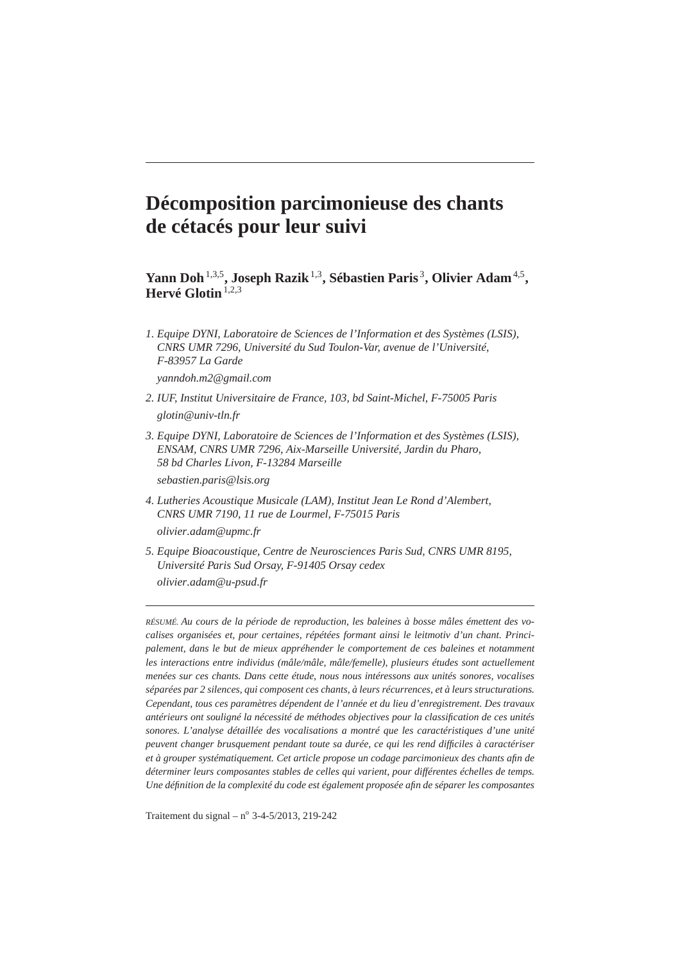# **Décomposition parcimonieuse des chants de cétacés pour leur suivi**

**Yann Doh**1,3,5**, Joseph Razik**1,3**, Sébastien Paris** <sup>3</sup> **, Olivier Adam**4,5 **, Hervé Glotin**<sup>1,2,3</sup>

*1. Equipe DYNI, Laboratoire de Sciences de l'Information et des Systèmes (LSIS), CNRS UMR 7296, Université du Sud Toulon-Var, avenue de l'Université, F-83957 La Garde*

*yanndoh.m2@gmail.com*

- *2. IUF, Institut Universitaire de France, 103, bd Saint-Michel, F-75005 Paris glotin@univ-tln.fr*
- *3. Equipe DYNI, Laboratoire de Sciences de l'Information et des Systèmes (LSIS), ENSAM, CNRS UMR 7296, Aix-Marseille Université, Jardin du Pharo, 58 bd Charles Livon, F-13284 Marseille sebastien.paris@lsis.org*
- *4. Lutheries Acoustique Musicale (LAM), Institut Jean Le Rond d'Alembert, CNRS UMR 7190, 11 rue de Lourmel, F-75015 Paris olivier.adam@upmc.fr*
- *5. Equipe Bioacoustique, Centre de Neurosciences Paris Sud, CNRS UMR 8195, Université Paris Sud Orsay, F-91405 Orsay cedex olivier.adam@u-psud.fr*

*RÉSUMÉ. Au cours de la période de reproduction, les baleines à bosse mâles émettent des vocalises organisées et, pour certaines, répétées formant ainsi le leitmotiv d'un chant. Principalement, dans le but de mieux appréhender le comportement de ces baleines et notamment les interactions entre individus (mâle/mâle, mâle/femelle), plusieurs études sont actuellement menées sur ces chants. Dans cette étude, nous nous intéressons aux unités sonores, vocalises séparées par 2 silences, qui composent ces chants, à leurs récurrences, et à leurs structurations. Cependant, tous ces paramètres dépendent de l'année et du lieu d'enregistrement. Des travaux antérieurs ont souligné la nécessité de méthodes objectives pour la classification de ces unités sonores. L'analyse détaillée des vocalisations a montré que les caractéristiques d'une unité peuvent changer brusquement pendant toute sa durée, ce qui les rend difficiles à caractériser et à grouper systématiquement. Cet article propose un codage parcimonieux des chants afin de déterminer leurs composantes stables de celles qui varient, pour différentes échelles de temps. Une définition de la complexité du code est également proposée afin de séparer les composantes*

Traitement du signal –  $n^{\circ}$  3-4-5/2013, 219-242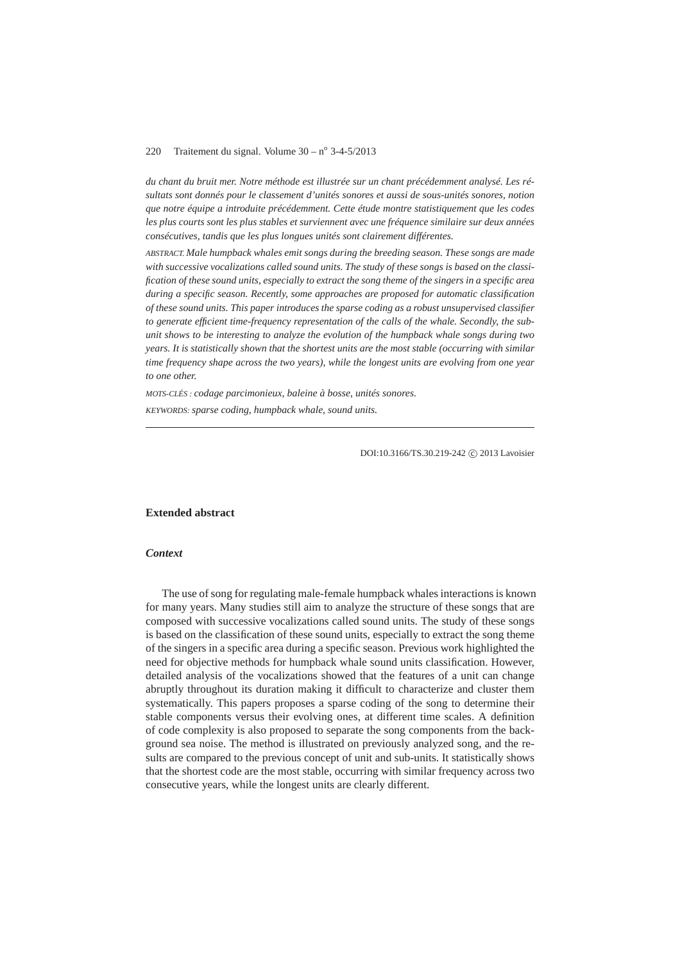*du chant du bruit mer. Notre méthode est illustrée sur un chant précédemment analysé. Les résultats sont donnés pour le classement d'unités sonores et aussi de sous-unités sonores, notion que notre équipe a introduite précédemment. Cette étude montre statistiquement que les codes les plus courts sont les plus stables et surviennent avec une fréquence similaire sur deux années consécutives, tandis que les plus longues unités sont clairement différentes.*

*ABSTRACT. Male humpback whales emit songs during the breeding season. These songs are made with successive vocalizations called sound units. The study of these songs is based on the classification of these sound units, especially to extract the song theme of the singers in a specific area during a specific season. Recently, some approaches are proposed for automatic classification of these sound units. This paper introduces the sparse coding as a robust unsupervised classifier to generate efficient time-frequency representation of the calls of the whale. Secondly, the subunit shows to be interesting to analyze the evolution of the humpback whale songs during two years. It is statistically shown that the shortest units are the most stable (occurring with similar time frequency shape across the two years), while the longest units are evolving from one year to one other.*

*MOTS-CLÉS : codage parcimonieux, baleine à bosse, unités sonores.*

*KEYWORDS: sparse coding, humpback whale, sound units.*

DOI:10.3166/TS.30.219-242 (C) 2013 Lavoisier

## **Extended abstract**

## *Context*

The use of song for regulating male-female humpback whales interactions is known for many years. Many studies still aim to analyze the structure of these songs that are composed with successive vocalizations called sound units. The study of these songs is based on the classification of these sound units, especially to extract the song theme of the singers in a specific area during a specific season. Previous work highlighted the need for objective methods for humpback whale sound units classification. However, detailed analysis of the vocalizations showed that the features of a unit can change abruptly throughout its duration making it difficult to characterize and cluster them systematically. This papers proposes a sparse coding of the song to determine their stable components versus their evolving ones, at different time scales. A definition of code complexity is also proposed to separate the song components from the background sea noise. The method is illustrated on previously analyzed song, and the results are compared to the previous concept of unit and sub-units. It statistically shows that the shortest code are the most stable, occurring with similar frequency across two consecutive years, while the longest units are clearly different.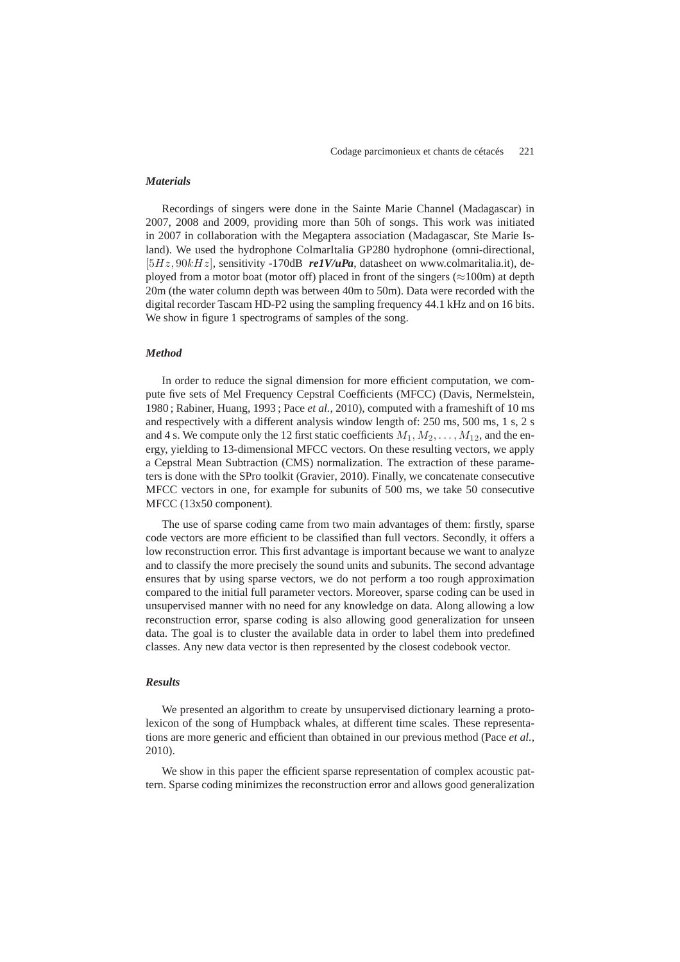#### *Materials*

Recordings of singers were done in the Sainte Marie Channel (Madagascar) in 2007, 2008 and 2009, providing more than 50h of songs. This work was initiated in 2007 in collaboration with the Megaptera association (Madagascar, Ste Marie Island). We used the hydrophone ColmarItalia GP280 hydrophone (omni-directional, [5Hz,  $90kHz$ ], sensitivity -170dB relV/uPa, datasheet on www.colmaritalia.it), deployed from a motor boat (motor off) placed in front of the singers ( $\approx$ 100m) at depth 20m (the water column depth was between 40m to 50m). Data were recorded with the digital recorder Tascam HD-P2 using the sampling frequency 44.1 kHz and on 16 bits. We show in figure 1 spectrograms of samples of the song.

#### *Method*

In order to reduce the signal dimension for more efficient computation, we compute five sets of Mel Frequency Cepstral Coefficients (MFCC) (Davis, Nermelstein, 1980 ; Rabiner, Huang, 1993 ; Pace *et al.*, 2010), computed with a frameshift of 10 ms and respectively with a different analysis window length of: 250 ms, 500 ms, 1 s, 2 s and 4 s. We compute only the 12 first static coefficients  $M_1, M_2, \ldots, M_{12}$ , and the energy, yielding to 13-dimensional MFCC vectors. On these resulting vectors, we apply a Cepstral Mean Subtraction (CMS) normalization. The extraction of these parameters is done with the SPro toolkit (Gravier, 2010). Finally, we concatenate consecutive MFCC vectors in one, for example for subunits of 500 ms, we take 50 consecutive MFCC (13x50 component).

The use of sparse coding came from two main advantages of them: firstly, sparse code vectors are more efficient to be classified than full vectors. Secondly, it offers a low reconstruction error. This first advantage is important because we want to analyze and to classify the more precisely the sound units and subunits. The second advantage ensures that by using sparse vectors, we do not perform a too rough approximation compared to the initial full parameter vectors. Moreover, sparse coding can be used in unsupervised manner with no need for any knowledge on data. Along allowing a low reconstruction error, sparse coding is also allowing good generalization for unseen data. The goal is to cluster the available data in order to label them into predefined classes. Any new data vector is then represented by the closest codebook vector.

## *Results*

We presented an algorithm to create by unsupervised dictionary learning a protolexicon of the song of Humpback whales, at different time scales. These representations are more generic and efficient than obtained in our previous method (Pace *et al.*, 2010).

We show in this paper the efficient sparse representation of complex acoustic pattern. Sparse coding minimizes the reconstruction error and allows good generalization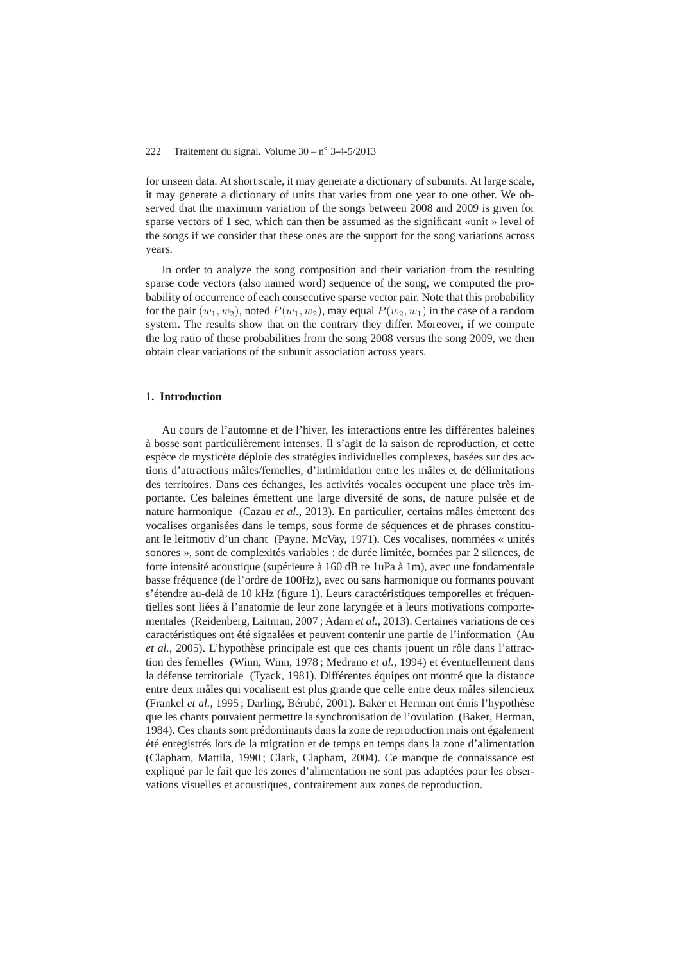for unseen data. At short scale, it may generate a dictionary of subunits. At large scale, it may generate a dictionary of units that varies from one year to one other. We observed that the maximum variation of the songs between 2008 and 2009 is given for sparse vectors of 1 sec, which can then be assumed as the significant «unit » level of the songs if we consider that these ones are the support for the song variations across years.

In order to analyze the song composition and their variation from the resulting sparse code vectors (also named word) sequence of the song, we computed the probability of occurrence of each consecutive sparse vector pair. Note that this probability for the pair  $(w_1, w_2)$ , noted  $P(w_1, w_2)$ , may equal  $P(w_2, w_1)$  in the case of a random system. The results show that on the contrary they differ. Moreover, if we compute the log ratio of these probabilities from the song 2008 versus the song 2009, we then obtain clear variations of the subunit association across years.

## **1. Introduction**

Au cours de l'automne et de l'hiver, les interactions entre les différentes baleines à bosse sont particulièrement intenses. Il s'agit de la saison de reproduction, et cette espèce de mysticète déploie des stratégies individuelles complexes, basées sur des actions d'attractions mâles/femelles, d'intimidation entre les mâles et de délimitations des territoires. Dans ces échanges, les activités vocales occupent une place très importante. Ces baleines émettent une large diversité de sons, de nature pulsée et de nature harmonique (Cazau *et al.*, 2013). En particulier, certains mâles émettent des vocalises organisées dans le temps, sous forme de séquences et de phrases constituant le leitmotiv d'un chant (Payne, McVay, 1971). Ces vocalises, nommées « unités sonores », sont de complexités variables : de durée limitée, bornées par 2 silences, de forte intensité acoustique (supérieure à 160 dB re 1uPa à 1m), avec une fondamentale basse fréquence (de l'ordre de 100Hz), avec ou sans harmonique ou formants pouvant s'étendre au-delà de 10 kHz (figure 1). Leurs caractéristiques temporelles et fréquentielles sont liées à l'anatomie de leur zone laryngée et à leurs motivations comportementales (Reidenberg, Laitman, 2007 ; Adam *et al.*, 2013). Certaines variations de ces caractéristiques ont été signalées et peuvent contenir une partie de l'information (Au *et al.*, 2005). L'hypothèse principale est que ces chants jouent un rôle dans l'attraction des femelles (Winn, Winn, 1978 ; Medrano *et al.*, 1994) et éventuellement dans la défense territoriale (Tyack, 1981). Différentes équipes ont montré que la distance entre deux mâles qui vocalisent est plus grande que celle entre deux mâles silencieux (Frankel *et al.*, 1995 ; Darling, Bérubé, 2001). Baker et Herman ont émis l'hypothèse que les chants pouvaient permettre la synchronisation de l'ovulation (Baker, Herman, 1984). Ces chants sont prédominants dans la zone de reproduction mais ont également été enregistrés lors de la migration et de temps en temps dans la zone d'alimentation (Clapham, Mattila, 1990 ; Clark, Clapham, 2004). Ce manque de connaissance est expliqué par le fait que les zones d'alimentation ne sont pas adaptées pour les observations visuelles et acoustiques, contrairement aux zones de reproduction.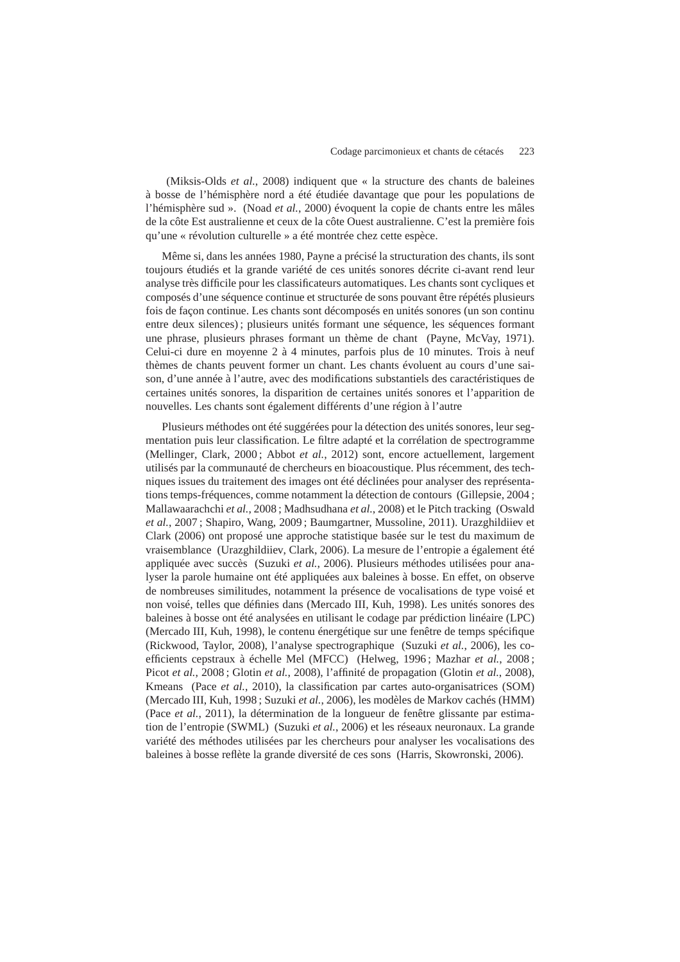(Miksis-Olds *et al.*, 2008) indiquent que « la structure des chants de baleines à bosse de l'hémisphère nord a été étudiée davantage que pour les populations de l'hémisphère sud ». (Noad *et al.*, 2000) évoquent la copie de chants entre les mâles de la côte Est australienne et ceux de la côte Ouest australienne. C'est la première fois qu'une « révolution culturelle » a été montrée chez cette espèce.

Même si, dans les années 1980, Payne a précisé la structuration des chants, ils sont toujours étudiés et la grande variété de ces unités sonores décrite ci-avant rend leur analyse très difficile pour les classificateurs automatiques. Les chants sont cycliques et composés d'une séquence continue et structurée de sons pouvant être répétés plusieurs fois de façon continue. Les chants sont décomposés en unités sonores (un son continu entre deux silences) ; plusieurs unités formant une séquence, les séquences formant une phrase, plusieurs phrases formant un thème de chant (Payne, McVay, 1971). Celui-ci dure en moyenne 2 à 4 minutes, parfois plus de 10 minutes. Trois à neuf thèmes de chants peuvent former un chant. Les chants évoluent au cours d'une saison, d'une année à l'autre, avec des modifications substantiels des caractéristiques de certaines unités sonores, la disparition de certaines unités sonores et l'apparition de nouvelles. Les chants sont également différents d'une région à l'autre

Plusieurs méthodes ont été suggérées pour la détection des unités sonores, leur segmentation puis leur classification. Le filtre adapté et la corrélation de spectrogramme (Mellinger, Clark, 2000 ; Abbot *et al.*, 2012) sont, encore actuellement, largement utilisés par la communauté de chercheurs en bioacoustique. Plus récemment, des techniques issues du traitement des images ont été déclinées pour analyser des représentations temps-fréquences, comme notamment la détection de contours (Gillepsie, 2004 ; Mallawaarachchi *et al.*, 2008 ; Madhsudhana *et al.*, 2008) et le Pitch tracking (Oswald *et al.*, 2007 ; Shapiro, Wang, 2009 ; Baumgartner, Mussoline, 2011). Urazghildiiev et Clark (2006) ont proposé une approche statistique basée sur le test du maximum de vraisemblance (Urazghildiiev, Clark, 2006). La mesure de l'entropie a également été appliquée avec succès (Suzuki *et al.*, 2006). Plusieurs méthodes utilisées pour analyser la parole humaine ont été appliquées aux baleines à bosse. En effet, on observe de nombreuses similitudes, notamment la présence de vocalisations de type voisé et non voisé, telles que définies dans (Mercado III, Kuh, 1998). Les unités sonores des baleines à bosse ont été analysées en utilisant le codage par prédiction linéaire (LPC) (Mercado III, Kuh, 1998), le contenu énergétique sur une fenêtre de temps spécifique (Rickwood, Taylor, 2008), l'analyse spectrographique (Suzuki *et al.*, 2006), les coefficients cepstraux à échelle Mel (MFCC) (Helweg, 1996 ; Mazhar *et al.*, 2008 ; Picot *et al.*, 2008 ; Glotin *et al.*, 2008), l'affinité de propagation (Glotin *et al.*, 2008), Kmeans (Pace *et al.*, 2010), la classification par cartes auto-organisatrices (SOM) (Mercado III, Kuh, 1998 ; Suzuki *et al.*, 2006), les modèles de Markov cachés (HMM) (Pace *et al.*, 2011), la détermination de la longueur de fenêtre glissante par estimation de l'entropie (SWML) (Suzuki *et al.*, 2006) et les réseaux neuronaux. La grande variété des méthodes utilisées par les chercheurs pour analyser les vocalisations des baleines à bosse reflète la grande diversité de ces sons (Harris, Skowronski, 2006).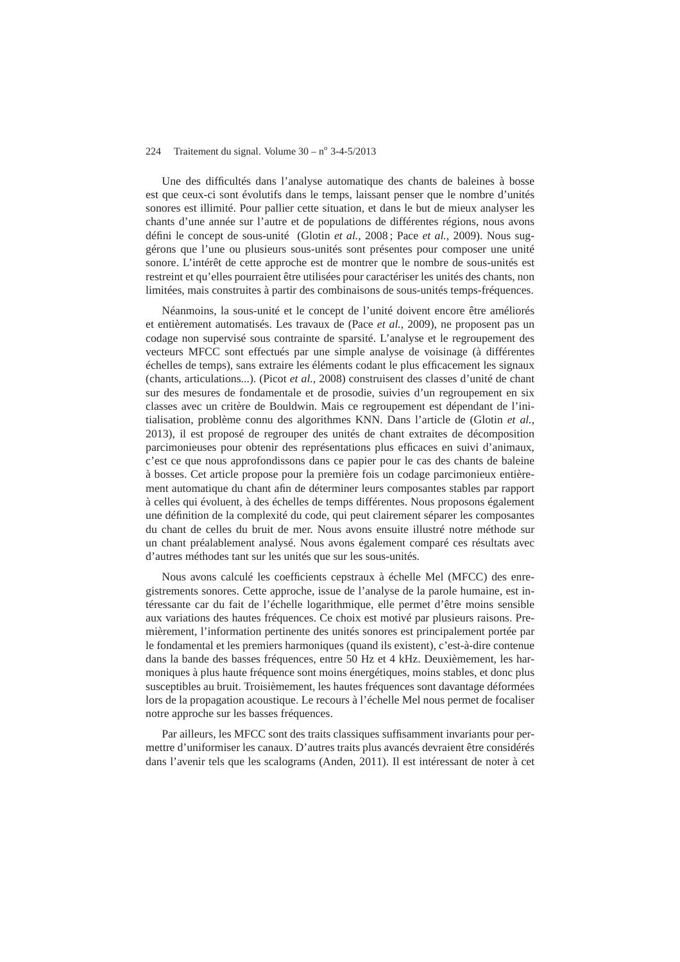Une des difficultés dans l'analyse automatique des chants de baleines à bosse est que ceux-ci sont évolutifs dans le temps, laissant penser que le nombre d'unités sonores est illimité. Pour pallier cette situation, et dans le but de mieux analyser les chants d'une année sur l'autre et de populations de différentes régions, nous avons défini le concept de sous-unité (Glotin *et al.*, 2008 ; Pace *et al.*, 2009). Nous suggérons que l'une ou plusieurs sous-unités sont présentes pour composer une unité sonore. L'intérêt de cette approche est de montrer que le nombre de sous-unités est restreint et qu'elles pourraient être utilisées pour caractériser les unités des chants, non limitées, mais construites à partir des combinaisons de sous-unités temps-fréquences.

Néanmoins, la sous-unité et le concept de l'unité doivent encore être améliorés et entièrement automatisés. Les travaux de (Pace *et al.*, 2009), ne proposent pas un codage non supervisé sous contrainte de sparsité. L'analyse et le regroupement des vecteurs MFCC sont effectués par une simple analyse de voisinage (à différentes échelles de temps), sans extraire les éléments codant le plus efficacement les signaux (chants, articulations...). (Picot *et al.*, 2008) construisent des classes d'unité de chant sur des mesures de fondamentale et de prosodie, suivies d'un regroupement en six classes avec un critère de Bouldwin. Mais ce regroupement est dépendant de l'initialisation, problème connu des algorithmes KNN. Dans l'article de (Glotin *et al.*, 2013), il est proposé de regrouper des unités de chant extraites de décomposition parcimonieuses pour obtenir des représentations plus efficaces en suivi d'animaux, c'est ce que nous approfondissons dans ce papier pour le cas des chants de baleine à bosses. Cet article propose pour la première fois un codage parcimonieux entièrement automatique du chant afin de déterminer leurs composantes stables par rapport à celles qui évoluent, à des échelles de temps différentes. Nous proposons également une définition de la complexité du code, qui peut clairement séparer les composantes du chant de celles du bruit de mer. Nous avons ensuite illustré notre méthode sur un chant préalablement analysé. Nous avons également comparé ces résultats avec d'autres méthodes tant sur les unités que sur les sous-unités.

Nous avons calculé les coefficients cepstraux à échelle Mel (MFCC) des enregistrements sonores. Cette approche, issue de l'analyse de la parole humaine, est intéressante car du fait de l'échelle logarithmique, elle permet d'être moins sensible aux variations des hautes fréquences. Ce choix est motivé par plusieurs raisons. Premièrement, l'information pertinente des unités sonores est principalement portée par le fondamental et les premiers harmoniques (quand ils existent), c'est-à-dire contenue dans la bande des basses fréquences, entre 50 Hz et 4 kHz. Deuxièmement, les harmoniques à plus haute fréquence sont moins énergétiques, moins stables, et donc plus susceptibles au bruit. Troisièmement, les hautes fréquences sont davantage déformées lors de la propagation acoustique. Le recours à l'échelle Mel nous permet de focaliser notre approche sur les basses fréquences.

Par ailleurs, les MFCC sont des traits classiques suffisamment invariants pour permettre d'uniformiser les canaux. D'autres traits plus avancés devraient être considérés dans l'avenir tels que les scalograms (Anden, 2011). Il est intéressant de noter à cet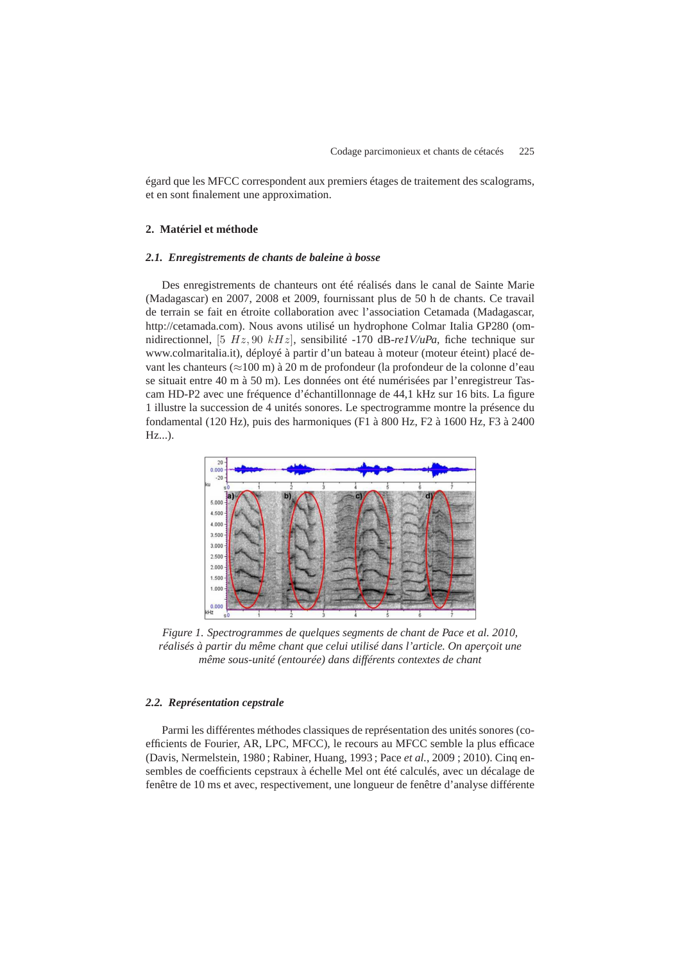égard que les MFCC correspondent aux premiers étages de traitement des scalograms, et en sont finalement une approximation.

## **2. Matériel et méthode**

#### *2.1. Enregistrements de chants de baleine à bosse*

Des enregistrements de chanteurs ont été réalisés dans le canal de Sainte Marie (Madagascar) en 2007, 2008 et 2009, fournissant plus de 50 h de chants. Ce travail de terrain se fait en étroite collaboration avec l'association Cetamada (Madagascar, http://cetamada.com). Nous avons utilisé un hydrophone Colmar Italia GP280 (omnidirectionnel, [5 Hz, 90 kHz], sensibilité -170 dB-*re1V/uPa*, fiche technique sur www.colmaritalia.it), déployé à partir d'un bateau à moteur (moteur éteint) placé devant les chanteurs (≈100 m) à 20 m de profondeur (la profondeur de la colonne d'eau se situait entre 40 m à 50 m). Les données ont été numérisées par l'enregistreur Tascam HD-P2 avec une fréquence d'échantillonnage de 44,1 kHz sur 16 bits. La figure 1 illustre la succession de 4 unités sonores. Le spectrogramme montre la présence du fondamental (120 Hz), puis des harmoniques (F1 à 800 Hz, F2 à 1600 Hz, F3 à 2400 Hz...).



*Figure 1. Spectrogrammes de quelques segments de chant de Pace et al. 2010, réalisés à partir du même chant que celui utilisé dans l'article. On aperçoit une même sous-unité (entourée) dans différents contextes de chant*

#### *2.2. Représentation cepstrale*

Parmi les différentes méthodes classiques de représentation des unités sonores (coefficients de Fourier, AR, LPC, MFCC), le recours au MFCC semble la plus efficace (Davis, Nermelstein, 1980 ; Rabiner, Huang, 1993 ; Pace *et al.*, 2009 ; 2010). Cinq ensembles de coefficients cepstraux à échelle Mel ont été calculés, avec un décalage de fenêtre de 10 ms et avec, respectivement, une longueur de fenêtre d'analyse différente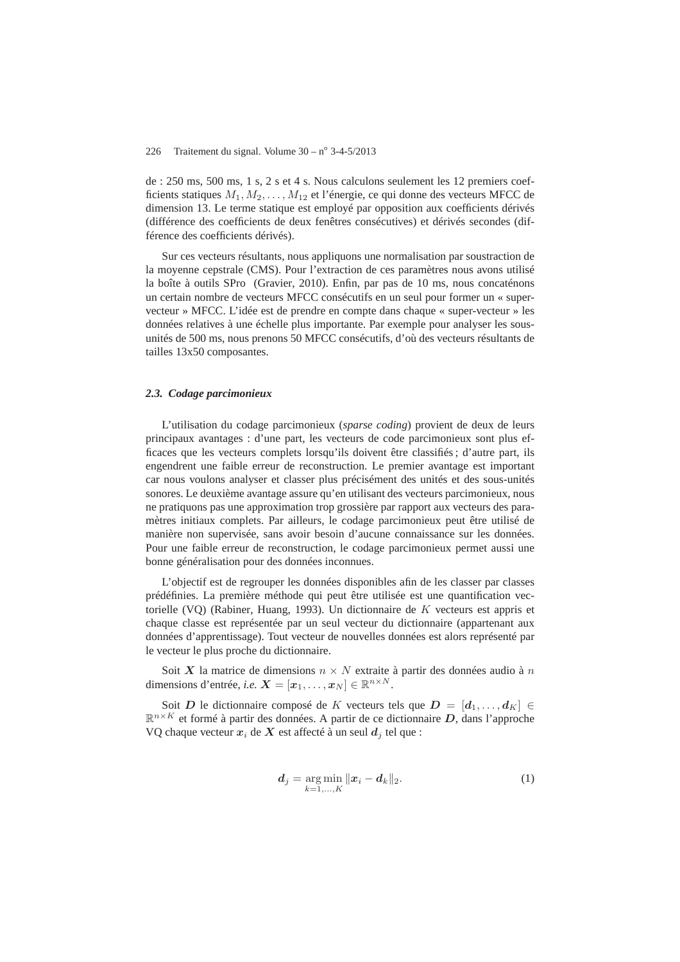de : 250 ms, 500 ms, 1 s, 2 s et 4 s. Nous calculons seulement les 12 premiers coefficients statiques  $M_1, M_2, \ldots, M_{12}$  et l'énergie, ce qui donne des vecteurs MFCC de dimension 13. Le terme statique est employé par opposition aux coefficients dérivés (différence des coefficients de deux fenêtres consécutives) et dérivés secondes (différence des coefficients dérivés).

Sur ces vecteurs résultants, nous appliquons une normalisation par soustraction de la moyenne cepstrale (CMS). Pour l'extraction de ces paramètres nous avons utilisé la boîte à outils SPro (Gravier, 2010). Enfin, par pas de 10 ms, nous concaténons un certain nombre de vecteurs MFCC consécutifs en un seul pour former un « supervecteur » MFCC. L'idée est de prendre en compte dans chaque « super-vecteur » les données relatives à une échelle plus importante. Par exemple pour analyser les sousunités de 500 ms, nous prenons 50 MFCC consécutifs, d'où des vecteurs résultants de tailles 13x50 composantes.

#### *2.3. Codage parcimonieux*

L'utilisation du codage parcimonieux (*sparse coding*) provient de deux de leurs principaux avantages : d'une part, les vecteurs de code parcimonieux sont plus efficaces que les vecteurs complets lorsqu'ils doivent être classifiés ; d'autre part, ils engendrent une faible erreur de reconstruction. Le premier avantage est important car nous voulons analyser et classer plus précisément des unités et des sous-unités sonores. Le deuxième avantage assure qu'en utilisant des vecteurs parcimonieux, nous ne pratiquons pas une approximation trop grossière par rapport aux vecteurs des paramètres initiaux complets. Par ailleurs, le codage parcimonieux peut être utilisé de manière non supervisée, sans avoir besoin d'aucune connaissance sur les données. Pour une faible erreur de reconstruction, le codage parcimonieux permet aussi une bonne généralisation pour des données inconnues.

L'objectif est de regrouper les données disponibles afin de les classer par classes prédéfinies. La première méthode qui peut être utilisée est une quantification vectorielle (VQ) (Rabiner, Huang, 1993). Un dictionnaire de K vecteurs est appris et chaque classe est représentée par un seul vecteur du dictionnaire (appartenant aux données d'apprentissage). Tout vecteur de nouvelles données est alors représenté par le vecteur le plus proche du dictionnaire.

Soit X la matrice de dimensions  $n \times N$  extraite à partir des données audio à n dimensions d'entrée, *i.e.*  $\mathbf{X} = [\mathbf{x}_1, \dots, \mathbf{x}_N] \in \mathbb{R}^{n \times N}$ .

Soit D le dictionnaire composé de K vecteurs tels que  $D = [d_1, \ldots, d_K] \in$  $\mathbb{R}^{n \times K}$  et formé à partir des données. A partir de ce dictionnaire D, dans l'approche VQ chaque vecteur  $x_i$  de X est affecté à un seul  $d_i$  tel que :

$$
d_j = \underset{k=1,...,K}{\arg \min} \|x_i - d_k\|_2.
$$
 (1)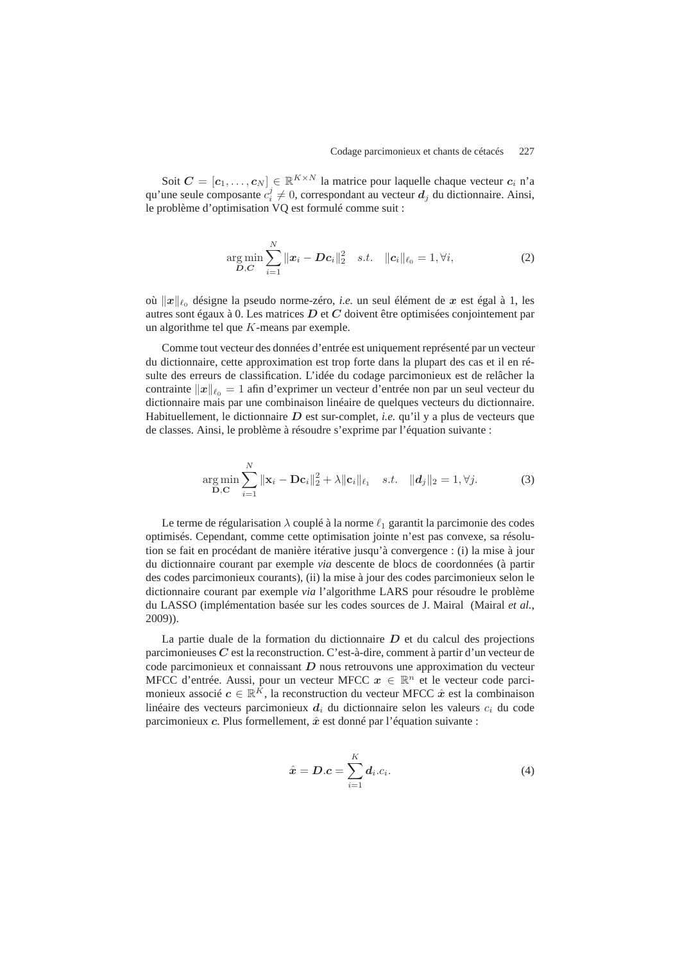Soit  $C = [c_1, \ldots, c_N] \in \mathbb{R}^{K \times N}$  la matrice pour laquelle chaque vecteur  $c_i$  n'a qu'une seule composante  $c_i^j \neq 0$ , correspondant au vecteur  $d_j$  du dictionnaire. Ainsi, le problème d'optimisation VQ est formulé comme suit :

$$
\underset{\mathbf{D}, \mathbf{C}}{\arg \min} \sum_{i=1}^{N} ||\mathbf{x}_i - \mathbf{D} \mathbf{c}_i||_2^2 \quad s.t. \quad ||\mathbf{c}_i||_{\ell_0} = 1, \forall i,
$$
 (2)

où  $\|\boldsymbol{x}\|_{\ell_0}$  désigne la pseudo norme-zéro, *i.e.* un seul élément de  $\boldsymbol{x}$  est égal à 1, les autres sont égaux à 0. Les matrices D et C doivent être optimisées conjointement par un algorithme tel que K-means par exemple.

Comme tout vecteur des données d'entrée est uniquement représenté par un vecteur du dictionnaire, cette approximation est trop forte dans la plupart des cas et il en résulte des erreurs de classification. L'idée du codage parcimonieux est de relâcher la contrainte  $||x||_{\ell_0} = 1$  afin d'exprimer un vecteur d'entrée non par un seul vecteur du dictionnaire mais par une combinaison linéaire de quelques vecteurs du dictionnaire. Habituellement, le dictionnaire D est sur-complet, *i.e.* qu'il y a plus de vecteurs que de classes. Ainsi, le problème à résoudre s'exprime par l'équation suivante :

$$
\underset{\mathbf{D},\mathbf{C}}{\arg \min} \sum_{i=1}^{N} ||\mathbf{x}_i - \mathbf{D} \mathbf{c}_i||_2^2 + \lambda ||\mathbf{c}_i||_{\ell_1} \quad s.t. \quad ||d_j||_2 = 1, \forall j. \tag{3}
$$

Le terme de régularisation  $\lambda$  couplé à la norme  $\ell_1$  garantit la parcimonie des codes optimisés. Cependant, comme cette optimisation jointe n'est pas convexe, sa résolution se fait en procédant de manière itérative jusqu'à convergence : (i) la mise à jour du dictionnaire courant par exemple *via* descente de blocs de coordonnées (à partir des codes parcimonieux courants), (ii) la mise à jour des codes parcimonieux selon le dictionnaire courant par exemple *via* l'algorithme LARS pour résoudre le problème du LASSO (implémentation basée sur les codes sources de J. Mairal (Mairal *et al.*, 2009)).

La partie duale de la formation du dictionnaire  $D$  et du calcul des projections parcimonieuses C est la reconstruction. C'est-à-dire, comment à partir d'un vecteur de code parcimonieux et connaissant  $D$  nous retrouvons une approximation du vecteur MFCC d'entrée. Aussi, pour un vecteur MFCC  $x \in \mathbb{R}^n$  et le vecteur code parcimonieux associé  $c \in \mathbb{R}^{\bar{K}}$ , la reconstruction du vecteur MFCC  $\hat{x}$  est la combinaison linéaire des vecteurs parcimonieux  $d_i$  du dictionnaire selon les valeurs  $c_i$  du code parcimonieux c. Plus formellement,  $\hat{x}$  est donné par l'équation suivante :

$$
\hat{\boldsymbol{x}} = \boldsymbol{D}.\boldsymbol{c} = \sum_{i=1}^{K} \boldsymbol{d}_i.c_i.
$$
\n(4)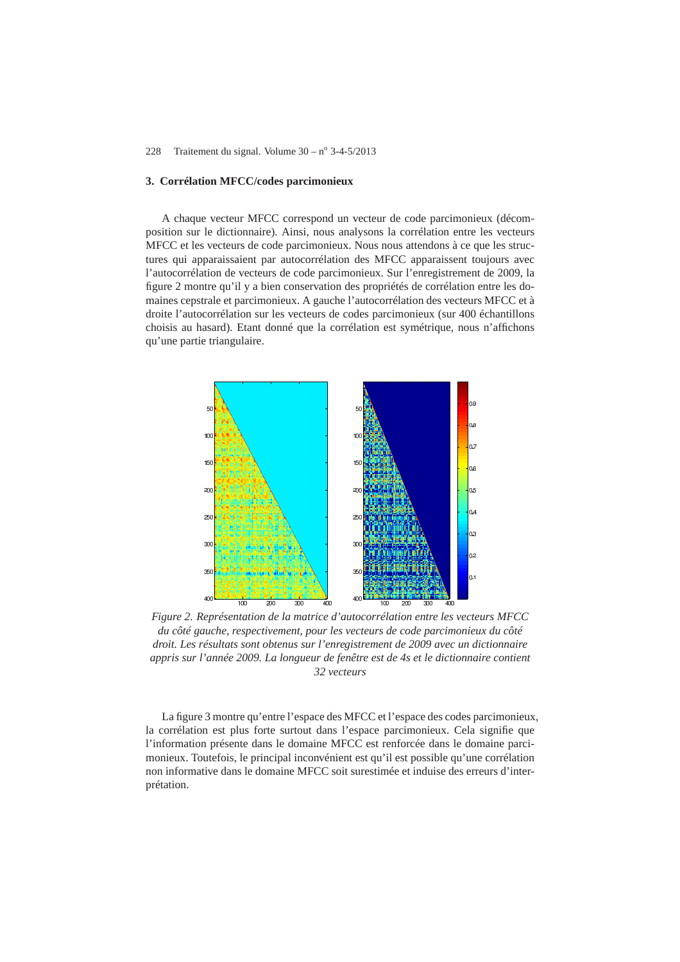#### **3. Corrélation MFCC/codes parcimonieux**

A chaque vecteur MFCC correspond un vecteur de code parcimonieux (décomposition sur le dictionnaire). Ainsi, nous analysons la corrélation entre les vecteurs MFCC et les vecteurs de code parcimonieux. Nous nous attendons à ce que les structures qui apparaissaient par autocorrélation des MFCC apparaissent toujours avec l'autocorrélation de vecteurs de code parcimonieux. Sur l'enregistrement de 2009, la figure 2 montre qu'il y a bien conservation des propriétés de corrélation entre les domaines cepstrale et parcimonieux. A gauche l'autocorrélation des vecteurs MFCC et à droite l'autocorrélation sur les vecteurs de codes parcimonieux (sur 400 échantillons choisis au hasard). Etant donné que la corrélation est symétrique, nous n'affichons qu'une partie triangulaire.



*Figure 2. Représentation de la matrice d'autocorrélation entre les vecteurs MFCC du côté gauche, respectivement, pour les vecteurs de code parcimonieux du côté droit. Les résultats sont obtenus sur l'enregistrement de 2009 avec un dictionnaire appris sur l'année 2009. La longueur de fenêtre est de 4s et le dictionnaire contient 32 vecteurs*

La figure 3 montre qu'entre l'espace des MFCC et l'espace des codes parcimonieux, la corrélation est plus forte surtout dans l'espace parcimonieux. Cela signifie que l'information présente dans le domaine MFCC est renforcée dans le domaine parcimonieux. Toutefois, le principal inconvénient est qu'il est possible qu'une corrélation non informative dans le domaine MFCC soit surestimée et induise des erreurs d'interprétation.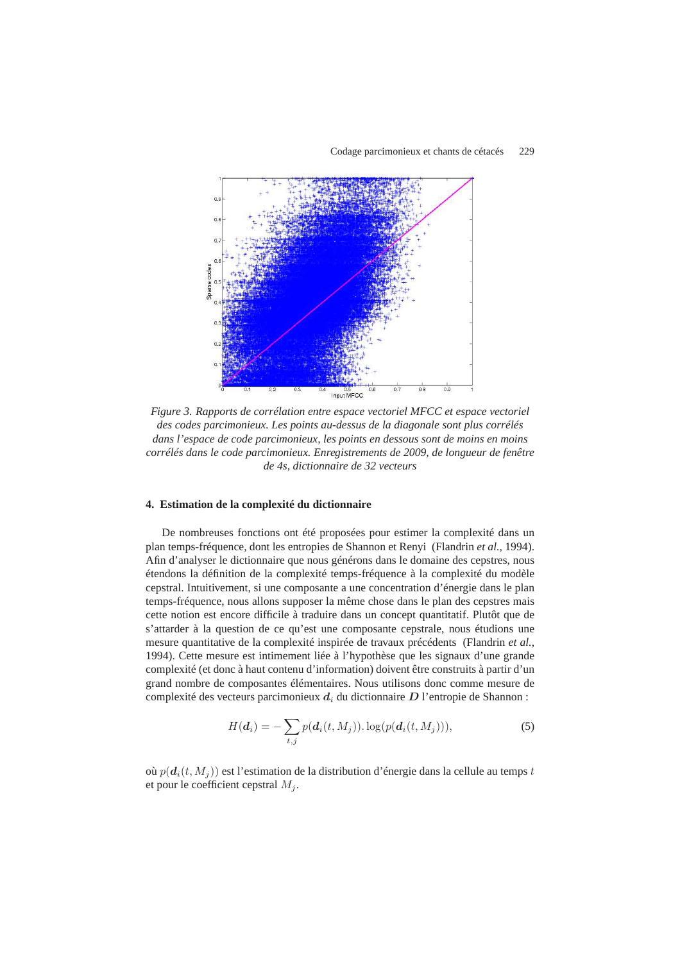

*Figure 3. Rapports de corrélation entre espace vectoriel MFCC et espace vectoriel des codes parcimonieux. Les points au-dessus de la diagonale sont plus corrélés dans l'espace de code parcimonieux, les points en dessous sont de moins en moins corrélés dans le code parcimonieux. Enregistrements de 2009, de longueur de fenêtre de 4s, dictionnaire de 32 vecteurs*

#### **4. Estimation de la complexité du dictionnaire**

De nombreuses fonctions ont été proposées pour estimer la complexité dans un plan temps-fréquence, dont les entropies de Shannon et Renyi (Flandrin *et al.*, 1994). Afin d'analyser le dictionnaire que nous générons dans le domaine des cepstres, nous étendons la définition de la complexité temps-fréquence à la complexité du modèle cepstral. Intuitivement, si une composante a une concentration d'énergie dans le plan temps-fréquence, nous allons supposer la même chose dans le plan des cepstres mais cette notion est encore difficile à traduire dans un concept quantitatif. Plutôt que de s'attarder à la question de ce qu'est une composante cepstrale, nous étudions une mesure quantitative de la complexité inspirée de travaux précédents (Flandrin *et al.*, 1994). Cette mesure est intimement liée à l'hypothèse que les signaux d'une grande complexité (et donc à haut contenu d'information) doivent être construits à partir d'un grand nombre de composantes élémentaires. Nous utilisons donc comme mesure de complexité des vecteurs parcimonieux  $d_i$  du dictionnaire  $D$  l'entropie de Shannon :

$$
H(\boldsymbol{d}_{i}) = -\sum_{t,j} p(\boldsymbol{d}_{i}(t, M_{j})). \log(p(\boldsymbol{d}_{i}(t, M_{j}))), \qquad (5)
$$

où  $p(d_i(t, M_i))$  est l'estimation de la distribution d'énergie dans la cellule au temps t et pour le coefficient cepstral  $M_j$ .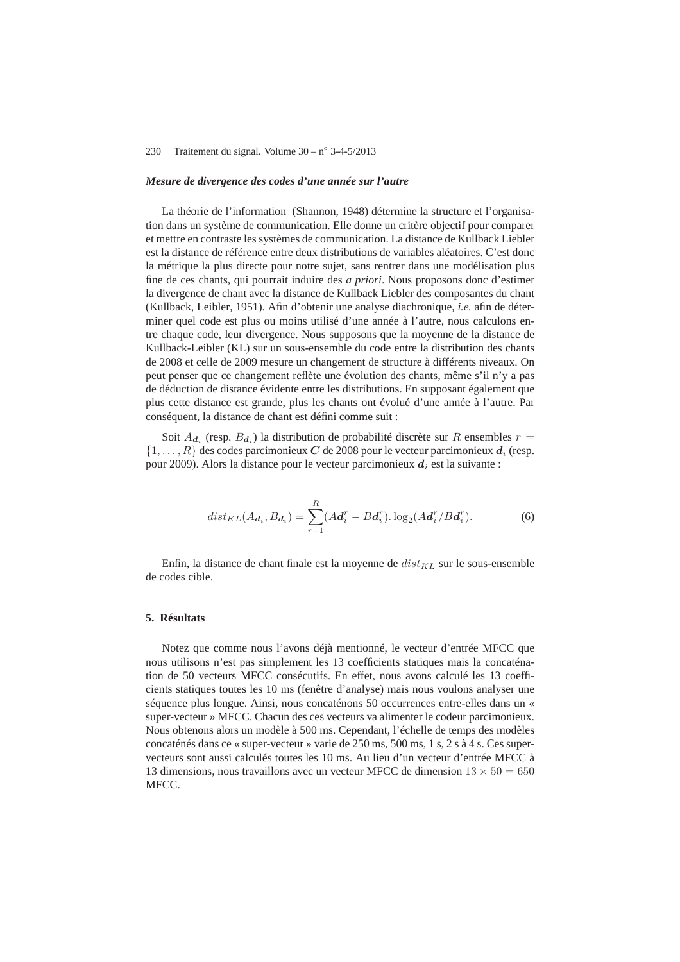#### *Mesure de divergence des codes d'une année sur l'autre*

La théorie de l'information (Shannon, 1948) détermine la structure et l'organisation dans un système de communication. Elle donne un critère objectif pour comparer et mettre en contraste les systèmes de communication. La distance de Kullback Liebler est la distance de référence entre deux distributions de variables aléatoires. C'est donc la métrique la plus directe pour notre sujet, sans rentrer dans une modélisation plus fine de ces chants, qui pourrait induire des *a priori*. Nous proposons donc d'estimer la divergence de chant avec la distance de Kullback Liebler des composantes du chant (Kullback, Leibler, 1951). Afin d'obtenir une analyse diachronique, *i.e.* afin de déterminer quel code est plus ou moins utilisé d'une année à l'autre, nous calculons entre chaque code, leur divergence. Nous supposons que la moyenne de la distance de Kullback-Leibler (KL) sur un sous-ensemble du code entre la distribution des chants de 2008 et celle de 2009 mesure un changement de structure à différents niveaux. On peut penser que ce changement reflète une évolution des chants, même s'il n'y a pas de déduction de distance évidente entre les distributions. En supposant également que plus cette distance est grande, plus les chants ont évolué d'une année à l'autre. Par conséquent, la distance de chant est défini comme suit :

Soit  $A_{d_i}$  (resp.  $B_{d_i}$ ) la distribution de probabilité discrète sur R ensembles  $r =$  $\{1, \ldots, R\}$  des codes parcimonieux C de 2008 pour le vecteur parcimonieux  $d_i$  (resp. pour 2009). Alors la distance pour le vecteur parcimonieux  $d_i$  est la suivante :

$$
dist_{KL}(A_{d_i}, B_{d_i}) = \sum_{r=1}^{R} (Ad_i^r - Bd_i^r) \cdot \log_2(Ad_i^r / Bd_i^r).
$$
 (6)

Enfin, la distance de chant finale est la moyenne de  $dist_{KL}$  sur le sous-ensemble de codes cible.

# **5. Résultats**

Notez que comme nous l'avons déjà mentionné, le vecteur d'entrée MFCC que nous utilisons n'est pas simplement les 13 coefficients statiques mais la concaténation de 50 vecteurs MFCC consécutifs. En effet, nous avons calculé les 13 coefficients statiques toutes les 10 ms (fenêtre d'analyse) mais nous voulons analyser une séquence plus longue. Ainsi, nous concaténons 50 occurrences entre-elles dans un « super-vecteur » MFCC. Chacun des ces vecteurs va alimenter le codeur parcimonieux. Nous obtenons alors un modèle à 500 ms. Cependant, l'échelle de temps des modèles concaténés dans ce « super-vecteur » varie de 250 ms, 500 ms, 1 s, 2 s à 4 s. Ces supervecteurs sont aussi calculés toutes les 10 ms. Au lieu d'un vecteur d'entrée MFCC à 13 dimensions, nous travaillons avec un vecteur MFCC de dimension  $13 \times 50 = 650$ MFCC.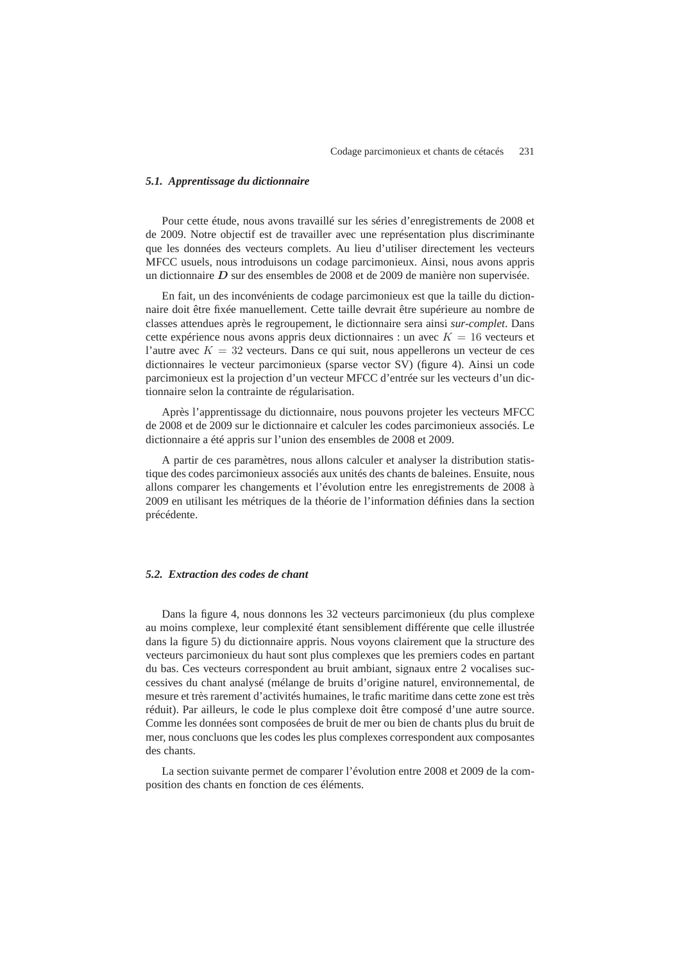#### *5.1. Apprentissage du dictionnaire*

Pour cette étude, nous avons travaillé sur les séries d'enregistrements de 2008 et de 2009. Notre objectif est de travailler avec une représentation plus discriminante que les données des vecteurs complets. Au lieu d'utiliser directement les vecteurs MFCC usuels, nous introduisons un codage parcimonieux. Ainsi, nous avons appris un dictionnaire  $D$  sur des ensembles de 2008 et de 2009 de manière non supervisée.

En fait, un des inconvénients de codage parcimonieux est que la taille du dictionnaire doit être fixée manuellement. Cette taille devrait être supérieure au nombre de classes attendues après le regroupement, le dictionnaire sera ainsi *sur-complet*. Dans cette expérience nous avons appris deux dictionnaires : un avec  $K = 16$  vecteurs et l'autre avec  $K = 32$  vecteurs. Dans ce qui suit, nous appellerons un vecteur de ces dictionnaires le vecteur parcimonieux (sparse vector SV) (figure 4). Ainsi un code parcimonieux est la projection d'un vecteur MFCC d'entrée sur les vecteurs d'un dictionnaire selon la contrainte de régularisation.

Après l'apprentissage du dictionnaire, nous pouvons projeter les vecteurs MFCC de 2008 et de 2009 sur le dictionnaire et calculer les codes parcimonieux associés. Le dictionnaire a été appris sur l'union des ensembles de 2008 et 2009.

A partir de ces paramètres, nous allons calculer et analyser la distribution statistique des codes parcimonieux associés aux unités des chants de baleines. Ensuite, nous allons comparer les changements et l'évolution entre les enregistrements de 2008 à 2009 en utilisant les métriques de la théorie de l'information définies dans la section précédente.

#### *5.2. Extraction des codes de chant*

Dans la figure 4, nous donnons les 32 vecteurs parcimonieux (du plus complexe au moins complexe, leur complexité étant sensiblement différente que celle illustrée dans la figure 5) du dictionnaire appris. Nous voyons clairement que la structure des vecteurs parcimonieux du haut sont plus complexes que les premiers codes en partant du bas. Ces vecteurs correspondent au bruit ambiant, signaux entre 2 vocalises successives du chant analysé (mélange de bruits d'origine naturel, environnemental, de mesure et très rarement d'activités humaines, le trafic maritime dans cette zone est très réduit). Par ailleurs, le code le plus complexe doit être composé d'une autre source. Comme les données sont composées de bruit de mer ou bien de chants plus du bruit de mer, nous concluons que les codes les plus complexes correspondent aux composantes des chants.

La section suivante permet de comparer l'évolution entre 2008 et 2009 de la composition des chants en fonction de ces éléments.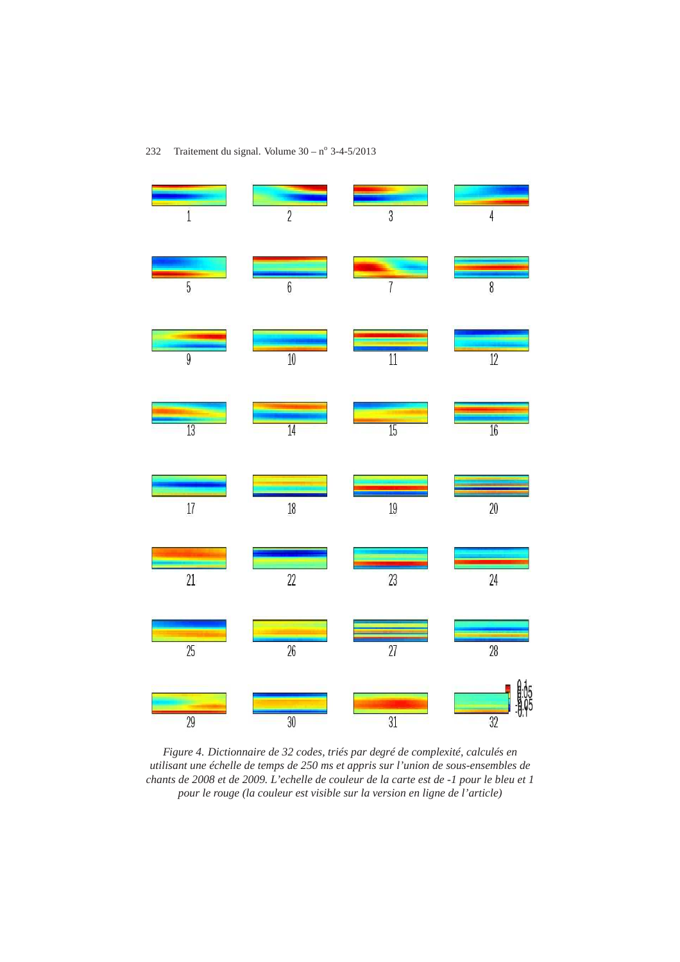

*Figure 4. Dictionnaire de 32 codes, triés par degré de complexité, calculés en utilisant une échelle de temps de 250 ms et appris sur l'union de sous-ensembles de chants de 2008 et de 2009. L'echelle de couleur de la carte est de -1 pour le bleu et 1 pour le rouge (la couleur est visible sur la version en ligne de l'article)*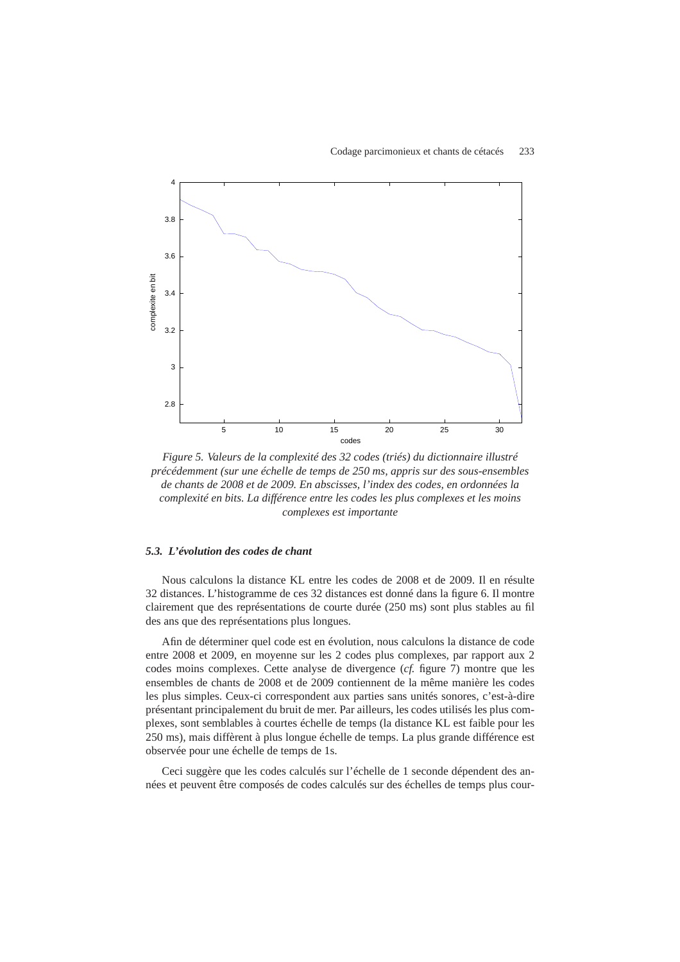

*Figure 5. Valeurs de la complexité des 32 codes (triés) du dictionnaire illustré précédemment (sur une échelle de temps de 250 ms, appris sur des sous-ensembles de chants de 2008 et de 2009. En abscisses, l'index des codes, en ordonnées la complexité en bits. La différence entre les codes les plus complexes et les moins complexes est importante*

## *5.3. L'évolution des codes de chant*

Nous calculons la distance KL entre les codes de 2008 et de 2009. Il en résulte 32 distances. L'histogramme de ces 32 distances est donné dans la figure 6. Il montre clairement que des représentations de courte durée (250 ms) sont plus stables au fil des ans que des représentations plus longues.

Afin de déterminer quel code est en évolution, nous calculons la distance de code entre 2008 et 2009, en moyenne sur les 2 codes plus complexes, par rapport aux 2 codes moins complexes. Cette analyse de divergence (*cf.* figure 7) montre que les ensembles de chants de 2008 et de 2009 contiennent de la même manière les codes les plus simples. Ceux-ci correspondent aux parties sans unités sonores, c'est-à-dire présentant principalement du bruit de mer. Par ailleurs, les codes utilisés les plus complexes, sont semblables à courtes échelle de temps (la distance KL est faible pour les 250 ms), mais diffèrent à plus longue échelle de temps. La plus grande différence est observée pour une échelle de temps de 1s.

Ceci suggère que les codes calculés sur l'échelle de 1 seconde dépendent des années et peuvent être composés de codes calculés sur des échelles de temps plus cour-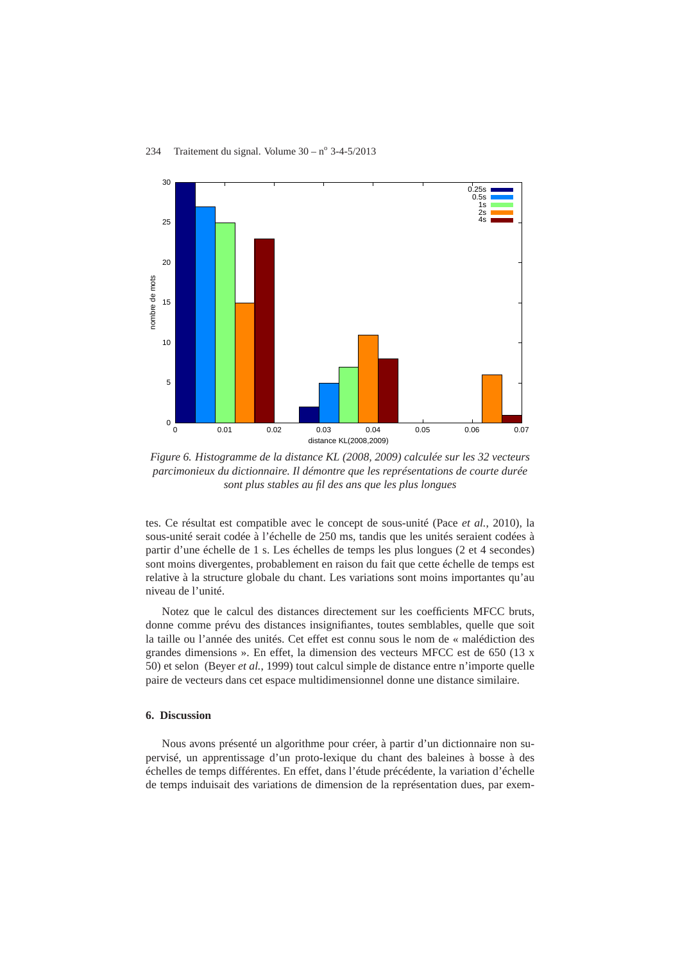

*Figure 6. Histogramme de la distance KL (2008, 2009) calculée sur les 32 vecteurs parcimonieux du dictionnaire. Il démontre que les représentations de courte durée sont plus stables au fil des ans que les plus longues*

tes. Ce résultat est compatible avec le concept de sous-unité (Pace *et al.*, 2010), la sous-unité serait codée à l'échelle de 250 ms, tandis que les unités seraient codées à partir d'une échelle de 1 s. Les échelles de temps les plus longues (2 et 4 secondes) sont moins divergentes, probablement en raison du fait que cette échelle de temps est relative à la structure globale du chant. Les variations sont moins importantes qu'au niveau de l'unité.

Notez que le calcul des distances directement sur les coefficients MFCC bruts, donne comme prévu des distances insignifiantes, toutes semblables, quelle que soit la taille ou l'année des unités. Cet effet est connu sous le nom de « malédiction des grandes dimensions ». En effet, la dimension des vecteurs MFCC est de 650 (13 x 50) et selon (Beyer *et al.*, 1999) tout calcul simple de distance entre n'importe quelle paire de vecteurs dans cet espace multidimensionnel donne une distance similaire.

## **6. Discussion**

Nous avons présenté un algorithme pour créer, à partir d'un dictionnaire non supervisé, un apprentissage d'un proto-lexique du chant des baleines à bosse à des échelles de temps différentes. En effet, dans l'étude précédente, la variation d'échelle de temps induisait des variations de dimension de la représentation dues, par exem-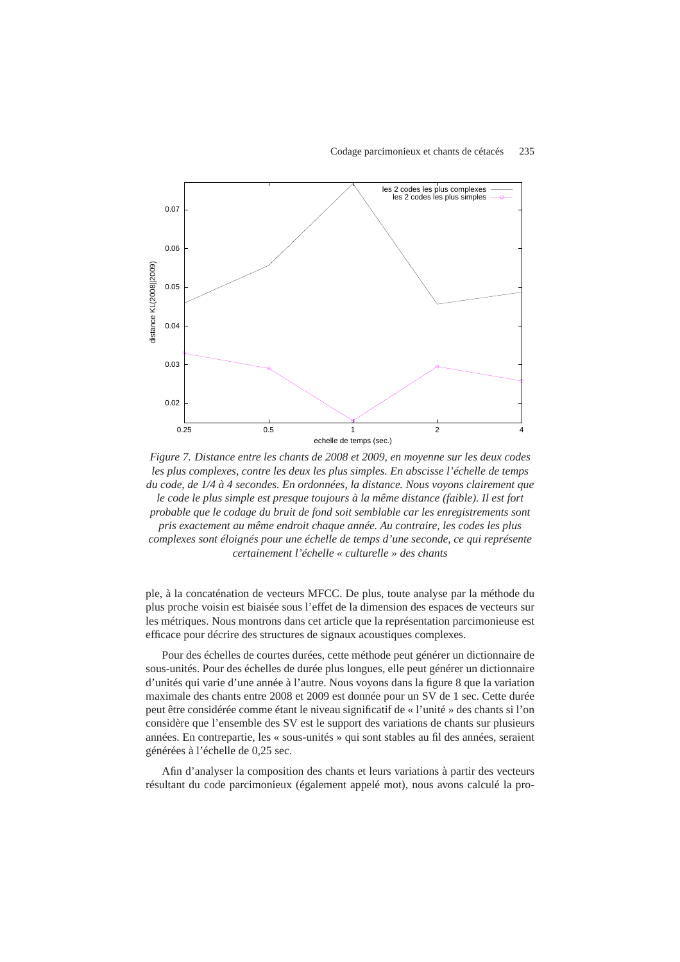#### Codage parcimonieux et chants de cétacés 235



*Figure 7. Distance entre les chants de 2008 et 2009, en moyenne sur les deux codes les plus complexes, contre les deux les plus simples. En abscisse l'échelle de temps du code, de 1/4 à 4 secondes. En ordonnées, la distance. Nous voyons clairement que le code le plus simple est presque toujours à la même distance (faible). Il est fort probable que le codage du bruit de fond soit semblable car les enregistrements sont pris exactement au même endroit chaque année. Au contraire, les codes les plus complexes sont éloignés pour une échelle de temps d'une seconde, ce qui représente certainement l'échelle « culturelle » des chants*

ple, à la concaténation de vecteurs MFCC. De plus, toute analyse par la méthode du plus proche voisin est biaisée sous l'effet de la dimension des espaces de vecteurs sur les métriques. Nous montrons dans cet article que la représentation parcimonieuse est efficace pour décrire des structures de signaux acoustiques complexes.

Pour des échelles de courtes durées, cette méthode peut générer un dictionnaire de sous-unités. Pour des échelles de durée plus longues, elle peut générer un dictionnaire d'unités qui varie d'une année à l'autre. Nous voyons dans la figure 8 que la variation maximale des chants entre 2008 et 2009 est donnée pour un SV de 1 sec. Cette durée peut être considérée comme étant le niveau significatif de « l'unité » des chants si l'on considère que l'ensemble des SV est le support des variations de chants sur plusieurs années. En contrepartie, les « sous-unités » qui sont stables au fil des années, seraient générées à l'échelle de 0,25 sec.

Afin d'analyser la composition des chants et leurs variations à partir des vecteurs résultant du code parcimonieux (également appelé mot), nous avons calculé la pro-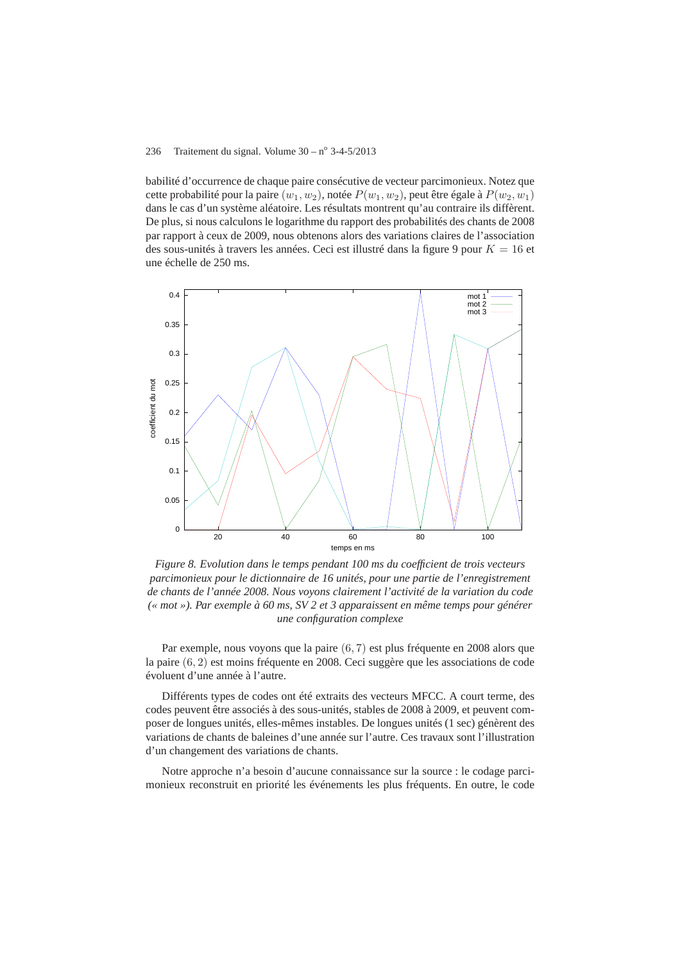babilité d'occurrence de chaque paire consécutive de vecteur parcimonieux. Notez que cette probabilité pour la paire  $(w_1, w_2)$ , notée  $P(w_1, w_2)$ , peut être égale à  $P(w_2, w_1)$ dans le cas d'un système aléatoire. Les résultats montrent qu'au contraire ils diffèrent. De plus, si nous calculons le logarithme du rapport des probabilités des chants de 2008 par rapport à ceux de 2009, nous obtenons alors des variations claires de l'association des sous-unités à travers les années. Ceci est illustré dans la figure 9 pour  $K = 16$  et une échelle de 250 ms.



*Figure 8. Evolution dans le temps pendant 100 ms du coefficient de trois vecteurs parcimonieux pour le dictionnaire de 16 unités, pour une partie de l'enregistrement de chants de l'année 2008. Nous voyons clairement l'activité de la variation du code (« mot »). Par exemple à 60 ms, SV 2 et 3 apparaissent en même temps pour générer une configuration complexe*

Par exemple, nous voyons que la paire (6, 7) est plus fréquente en 2008 alors que la paire (6, 2) est moins fréquente en 2008. Ceci suggère que les associations de code évoluent d'une année à l'autre.

Différents types de codes ont été extraits des vecteurs MFCC. A court terme, des codes peuvent être associés à des sous-unités, stables de 2008 à 2009, et peuvent composer de longues unités, elles-mêmes instables. De longues unités (1 sec) génèrent des variations de chants de baleines d'une année sur l'autre. Ces travaux sont l'illustration d'un changement des variations de chants.

Notre approche n'a besoin d'aucune connaissance sur la source : le codage parcimonieux reconstruit en priorité les événements les plus fréquents. En outre, le code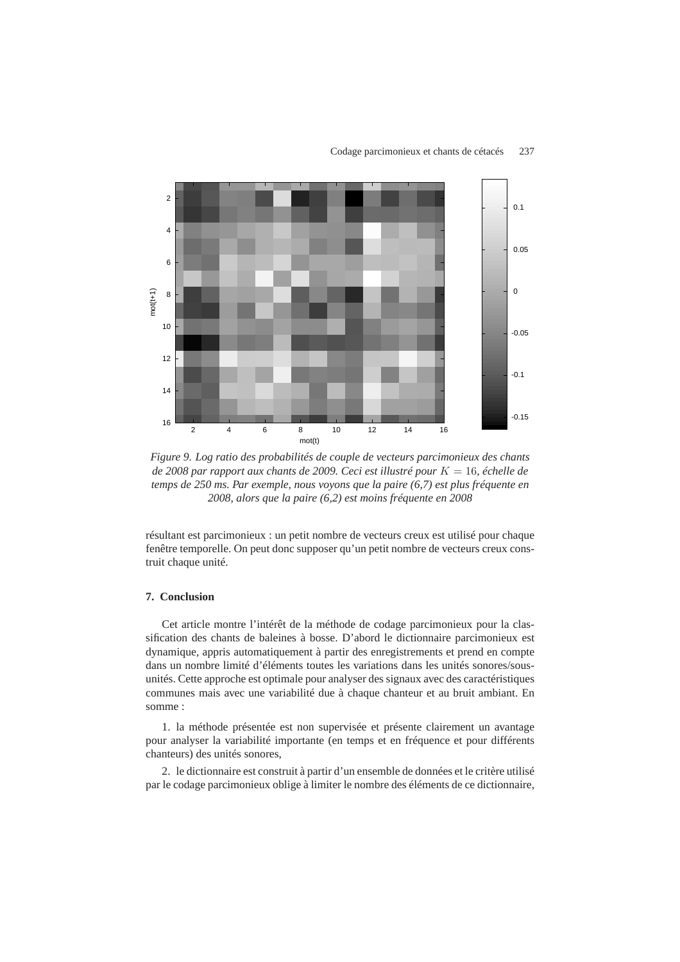

*Figure 9. Log ratio des probabilités de couple de vecteurs parcimonieux des chants de 2008 par rapport aux chants de 2009. Ceci est illustré pour* K = 16*, échelle de temps de 250 ms. Par exemple, nous voyons que la paire (6,7) est plus fréquente en 2008, alors que la paire (6,2) est moins fréquente en 2008*

résultant est parcimonieux : un petit nombre de vecteurs creux est utilisé pour chaque fenêtre temporelle. On peut donc supposer qu'un petit nombre de vecteurs creux construit chaque unité.

# **7. Conclusion**

Cet article montre l'intérêt de la méthode de codage parcimonieux pour la classification des chants de baleines à bosse. D'abord le dictionnaire parcimonieux est dynamique, appris automatiquement à partir des enregistrements et prend en compte dans un nombre limité d'éléments toutes les variations dans les unités sonores/sousunités. Cette approche est optimale pour analyser des signaux avec des caractéristiques communes mais avec une variabilité due à chaque chanteur et au bruit ambiant. En somme :

1. la méthode présentée est non supervisée et présente clairement un avantage pour analyser la variabilité importante (en temps et en fréquence et pour différents chanteurs) des unités sonores,

2. le dictionnaire est construit à partir d'un ensemble de données et le critère utilisé par le codage parcimonieux oblige à limiter le nombre des éléments de ce dictionnaire,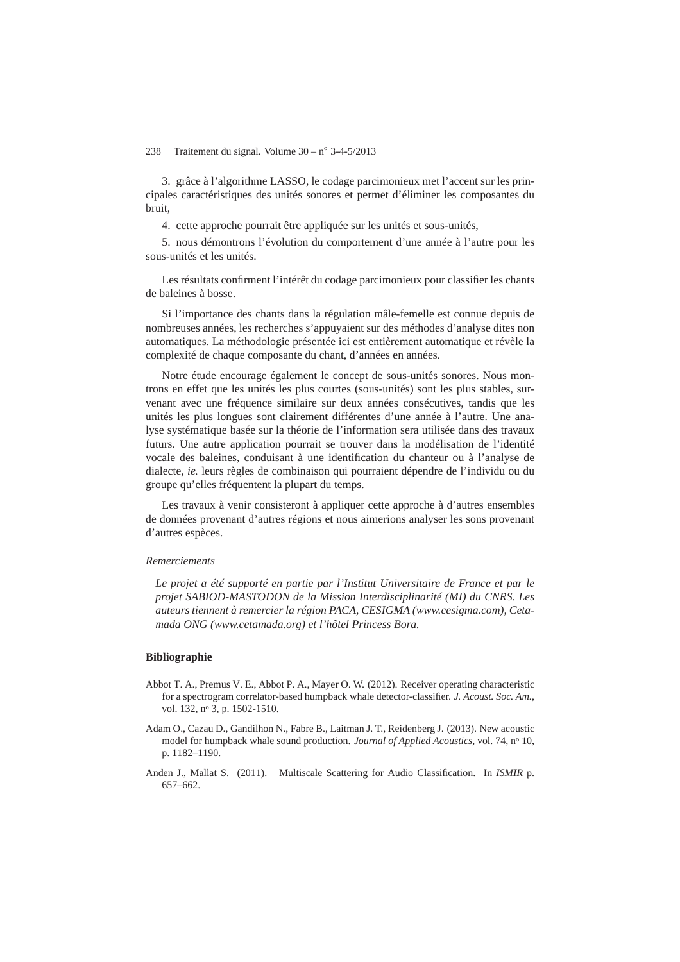3. grâce à l'algorithme LASSO, le codage parcimonieux met l'accent sur les principales caractéristiques des unités sonores et permet d'éliminer les composantes du bruit,

4. cette approche pourrait être appliquée sur les unités et sous-unités,

5. nous démontrons l'évolution du comportement d'une année à l'autre pour les sous-unités et les unités.

Les résultats confirment l'intérêt du codage parcimonieux pour classifier les chants de baleines à bosse.

Si l'importance des chants dans la régulation mâle-femelle est connue depuis de nombreuses années, les recherches s'appuyaient sur des méthodes d'analyse dites non automatiques. La méthodologie présentée ici est entièrement automatique et révèle la complexité de chaque composante du chant, d'années en années.

Notre étude encourage également le concept de sous-unités sonores. Nous montrons en effet que les unités les plus courtes (sous-unités) sont les plus stables, survenant avec une fréquence similaire sur deux années consécutives, tandis que les unités les plus longues sont clairement différentes d'une année à l'autre. Une analyse systématique basée sur la théorie de l'information sera utilisée dans des travaux futurs. Une autre application pourrait se trouver dans la modélisation de l'identité vocale des baleines, conduisant à une identification du chanteur ou à l'analyse de dialecte, *ie.* leurs règles de combinaison qui pourraient dépendre de l'individu ou du groupe qu'elles fréquentent la plupart du temps.

Les travaux à venir consisteront à appliquer cette approche à d'autres ensembles de données provenant d'autres régions et nous aimerions analyser les sons provenant d'autres espèces.

#### *Remerciements*

*Le projet a été supporté en partie par l'Institut Universitaire de France et par le projet SABIOD-MASTODON de la Mission Interdisciplinarité (MI) du CNRS. Les auteurs tiennent à remercier la région PACA, CESIGMA (www.cesigma.com), Cetamada ONG (www.cetamada.org) et l'hôtel Princess Bora.*

# **Bibliographie**

- Abbot T. A., Premus V. E., Abbot P. A., Mayer O. W. (2012). Receiver operating characteristic for a spectrogram correlator-based humpback whale detector-classifier. *J. Acoust. Soc. Am.*, vol. 132, nº 3, p. 1502-1510.
- Adam O., Cazau D., Gandilhon N., Fabre B., Laitman J. T., Reidenberg J. (2013). New acoustic model for humpback whale sound production. *Journal of Applied Acoustics*, vol. 74, n<sup>o</sup> 10, p. 1182–1190.
- Anden J., Mallat S. (2011). Multiscale Scattering for Audio Classification. In *ISMIR* p. 657–662.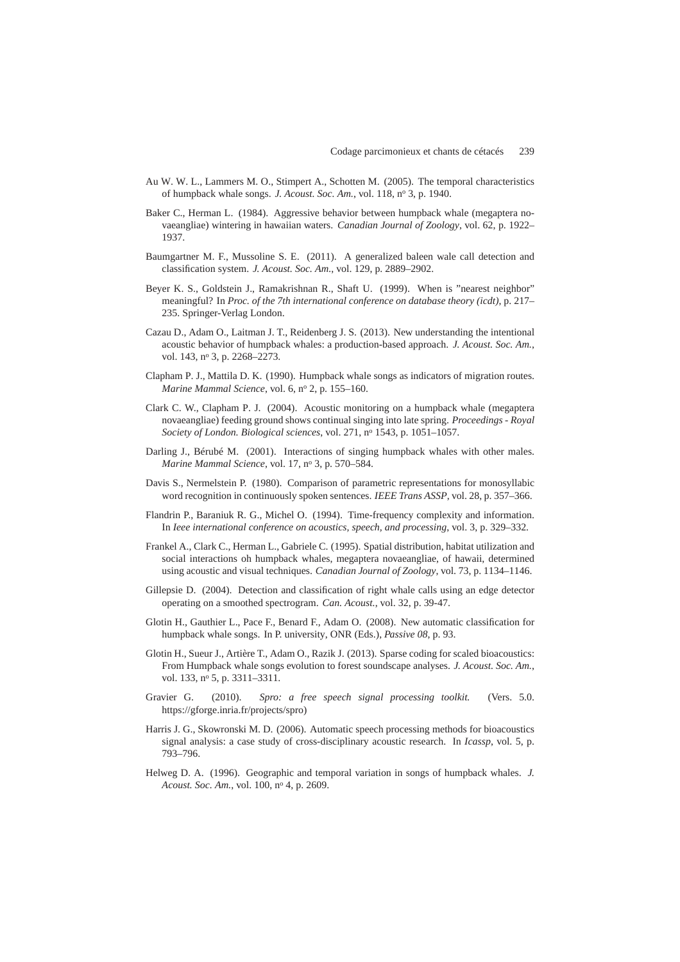- Au W. W. L., Lammers M. O., Stimpert A., Schotten M. (2005). The temporal characteristics of humpback whale songs. *J. Acoust. Soc. Am.*, vol. 118, n<sup>o</sup> 3, p. 1940.
- Baker C., Herman L. (1984). Aggressive behavior between humpback whale (megaptera novaeangliae) wintering in hawaiian waters. *Canadian Journal of Zoology*, vol. 62, p. 1922– 1937.
- Baumgartner M. F., Mussoline S. E. (2011). A generalized baleen wale call detection and classification system. *J. Acoust. Soc. Am.*, vol. 129, p. 2889–2902.
- Beyer K. S., Goldstein J., Ramakrishnan R., Shaft U. (1999). When is "nearest neighbor" meaningful? In *Proc. of the 7th international conference on database theory (icdt)*, p. 217– 235. Springer-Verlag London.
- Cazau D., Adam O., Laitman J. T., Reidenberg J. S. (2013). New understanding the intentional acoustic behavior of humpback whales: a production-based approach. *J. Acoust. Soc. Am.*, vol. 143, nº 3, p. 2268–2273.
- Clapham P. J., Mattila D. K. (1990). Humpback whale songs as indicators of migration routes. *Marine Mammal Science*, vol. 6, nº 2, p. 155-160.
- Clark C. W., Clapham P. J. (2004). Acoustic monitoring on a humpback whale (megaptera novaeangliae) feeding ground shows continual singing into late spring. *Proceedings - Royal Society of London. Biological sciences*, vol. 271, n<sup>o</sup> 1543, p. 1051–1057.
- Darling J., Bérubé M. (2001). Interactions of singing humpback whales with other males. *Marine Mammal Science*, vol. 17, n<sup>o</sup> 3, p. 570–584.
- Davis S., Nermelstein P. (1980). Comparison of parametric representations for monosyllabic word recognition in continuously spoken sentences. *IEEE Trans ASSP*, vol. 28, p. 357–366.
- Flandrin P., Baraniuk R. G., Michel O. (1994). Time-frequency complexity and information. In *Ieee international conference on acoustics, speech, and processing*, vol. 3, p. 329–332.
- Frankel A., Clark C., Herman L., Gabriele C. (1995). Spatial distribution, habitat utilization and social interactions oh humpback whales, megaptera novaeangliae, of hawaii, determined using acoustic and visual techniques. *Canadian Journal of Zoology*, vol. 73, p. 1134–1146.
- Gillepsie D. (2004). Detection and classification of right whale calls using an edge detector operating on a smoothed spectrogram. *Can. Acoust.*, vol. 32, p. 39-47.
- Glotin H., Gauthier L., Pace F., Benard F., Adam O. (2008). New automatic classification for humpback whale songs. In P. university, ONR (Eds.), *Passive 08*, p. 93.
- Glotin H., Sueur J., Artière T., Adam O., Razik J. (2013). Sparse coding for scaled bioacoustics: From Humpback whale songs evolution to forest soundscape analyses. *J. Acoust. Soc. Am.*, vol. 133, nº 5, p. 3311-3311.
- Gravier G. (2010). *Spro: a free speech signal processing toolkit.* (Vers. 5.0. https://gforge.inria.fr/projects/spro)
- Harris J. G., Skowronski M. D. (2006). Automatic speech processing methods for bioacoustics signal analysis: a case study of cross-disciplinary acoustic research. In *Icassp*, vol. 5, p. 793–796.
- Helweg D. A. (1996). Geographic and temporal variation in songs of humpback whales. *J. Acoust. Soc. Am.*, vol. 100, n<sup>o</sup> 4, p. 2609.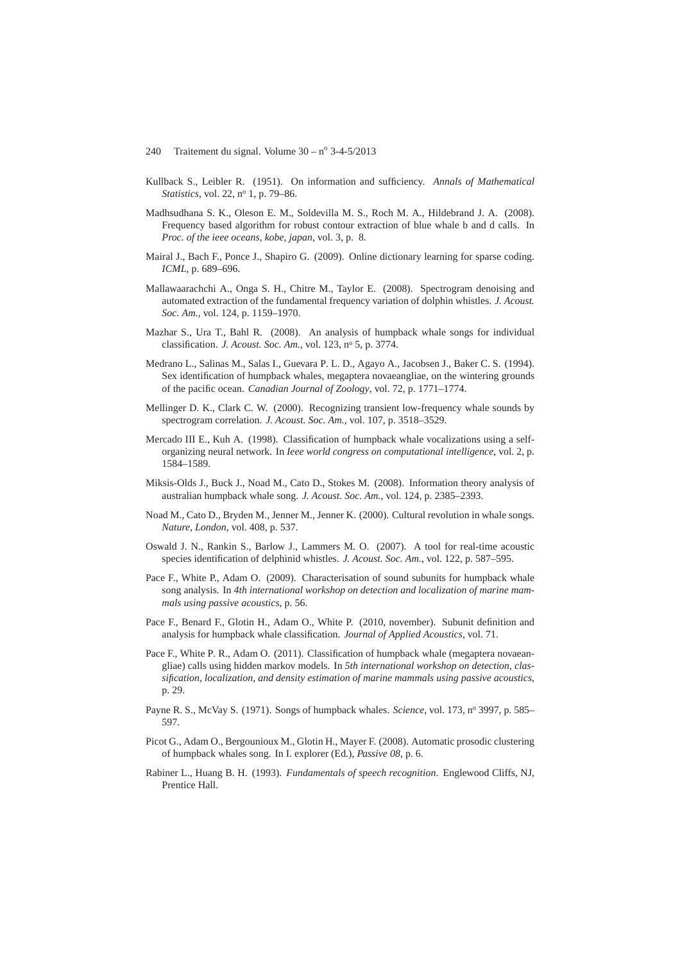- Kullback S., Leibler R. (1951). On information and sufficiency. *Annals of Mathematical Statistics*, vol. 22, nº 1, p. 79–86.
- Madhsudhana S. K., Oleson E. M., Soldevilla M. S., Roch M. A., Hildebrand J. A. (2008). Frequency based algorithm for robust contour extraction of blue whale b and d calls. In *Proc. of the ieee oceans, kobe, japan*, vol. 3, p. 8.
- Mairal J., Bach F., Ponce J., Shapiro G. (2009). Online dictionary learning for sparse coding. *ICML*, p. 689–696.
- Mallawaarachchi A., Onga S. H., Chitre M., Taylor E. (2008). Spectrogram denoising and automated extraction of the fundamental frequency variation of dolphin whistles. *J. Acoust. Soc. Am.*, vol. 124, p. 1159–1970.
- Mazhar S., Ura T., Bahl R. (2008). An analysis of humpback whale songs for individual classification. *J. Acoust. Soc. Am.*, vol. 123, n<sup>o</sup> 5, p. 3774.
- Medrano L., Salinas M., Salas I., Guevara P. L. D., Agayo A., Jacobsen J., Baker C. S. (1994). Sex identification of humpback whales, megaptera novaeangliae, on the wintering grounds of the pacific ocean. *Canadian Journal of Zoology*, vol. 72, p. 1771–1774.
- Mellinger D. K., Clark C. W. (2000). Recognizing transient low-frequency whale sounds by spectrogram correlation. *J. Acoust. Soc. Am.*, vol. 107, p. 3518–3529.
- Mercado III E., Kuh A. (1998). Classification of humpback whale vocalizations using a selforganizing neural network. In *Ieee world congress on computational intelligence*, vol. 2, p. 1584–1589.
- Miksis-Olds J., Buck J., Noad M., Cato D., Stokes M. (2008). Information theory analysis of australian humpback whale song. *J. Acoust. Soc. Am.*, vol. 124, p. 2385–2393.
- Noad M., Cato D., Bryden M., Jenner M., Jenner K. (2000). Cultural revolution in whale songs. *Nature, London*, vol. 408, p. 537.
- Oswald J. N., Rankin S., Barlow J., Lammers M. O. (2007). A tool for real-time acoustic species identification of delphinid whistles. *J. Acoust. Soc. Am.*, vol. 122, p. 587–595.
- Pace F., White P., Adam O. (2009). Characterisation of sound subunits for humpback whale song analysis. In *4th international workshop on detection and localization of marine mammals using passive acoustics*, p. 56.
- Pace F., Benard F., Glotin H., Adam O., White P. (2010, november). Subunit definition and analysis for humpback whale classification. *Journal of Applied Acoustics*, vol. 71.
- Pace F., White P. R., Adam O. (2011). Classification of humpback whale (megaptera novaeangliae) calls using hidden markov models. In *5th international workshop on detection, classification, localization, and density estimation of marine mammals using passive acoustics*, p. 29.
- Payne R. S., McVay S. (1971). Songs of humpback whales. *Science*, vol. 173, nº 3997, p. 585– 597.
- Picot G., Adam O., Bergounioux M., Glotin H., Mayer F. (2008). Automatic prosodic clustering of humpback whales song. In I. explorer (Ed.), *Passive 08*, p. 6.
- Rabiner L., Huang B. H. (1993). *Fundamentals of speech recognition*. Englewood Cliffs, NJ, Prentice Hall.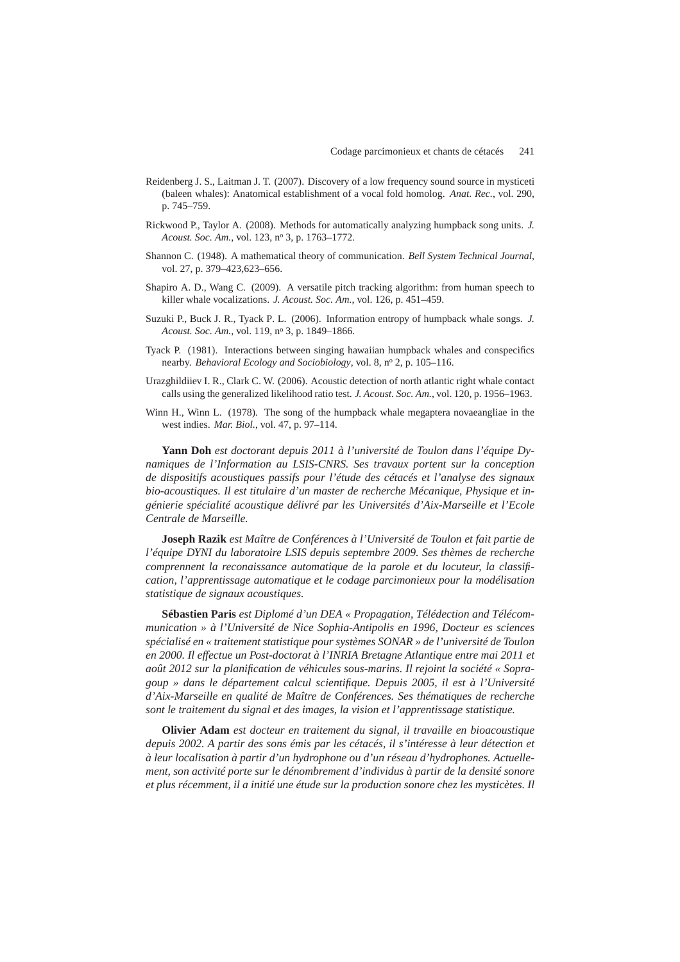- Reidenberg J. S., Laitman J. T. (2007). Discovery of a low frequency sound source in mysticeti (baleen whales): Anatomical establishment of a vocal fold homolog. *Anat. Rec.*, vol. 290, p. 745–759.
- Rickwood P., Taylor A. (2008). Methods for automatically analyzing humpback song units. *J. Acoust. Soc. Am.*, vol. 123, n<sup>o</sup> 3, p. 1763–1772.
- Shannon C. (1948). A mathematical theory of communication. *Bell System Technical Journal*, vol. 27, p. 379–423,623–656.
- Shapiro A. D., Wang C. (2009). A versatile pitch tracking algorithm: from human speech to killer whale vocalizations. *J. Acoust. Soc. Am.*, vol. 126, p. 451–459.
- Suzuki P., Buck J. R., Tyack P. L. (2006). Information entropy of humpback whale songs. *J. Acoust. Soc. Am.*, vol. 119, n<sup>o</sup> 3, p. 1849–1866.
- Tyack P. (1981). Interactions between singing hawaiian humpback whales and conspecifics nearby. *Behavioral Ecology and Sociobiology*, vol. 8, nº 2, p. 105–116.
- Urazghildiiev I. R., Clark C. W. (2006). Acoustic detection of north atlantic right whale contact calls using the generalized likelihood ratio test. *J. Acoust. Soc. Am.*, vol. 120, p. 1956–1963.
- Winn H., Winn L. (1978). The song of the humpback whale megaptera novaeangliae in the west indies. *Mar. Biol.*, vol. 47, p. 97–114.

**Yann Doh** *est doctorant depuis 2011 à l'université de Toulon dans l'équipe Dynamiques de l'Information au LSIS-CNRS. Ses travaux portent sur la conception de dispositifs acoustiques passifs pour l'étude des cétacés et l'analyse des signaux bio-acoustiques. Il est titulaire d'un master de recherche Mécanique, Physique et ingénierie spécialité acoustique délivré par les Universités d'Aix-Marseille et l'Ecole Centrale de Marseille.*

**Joseph Razik** *est Maître de Conférences à l'Université de Toulon et fait partie de l'équipe DYNI du laboratoire LSIS depuis septembre 2009. Ses thèmes de recherche comprennent la reconaissance automatique de la parole et du locuteur, la classification, l'apprentissage automatique et le codage parcimonieux pour la modélisation statistique de signaux acoustiques.*

**Sébastien Paris** *est Diplomé d'un DEA « Propagation, Télédection and Télécommunication » à l'Université de Nice Sophia-Antipolis en 1996, Docteur es sciences spécialisé en « traitement statistique pour systèmes SONAR » de l'université de Toulon en 2000. Il effectue un Post-doctorat à l'INRIA Bretagne Atlantique entre mai 2011 et août 2012 sur la planification de véhicules sous-marins. Il rejoint la société « Sopragoup » dans le département calcul scientifique. Depuis 2005, il est à l'Université d'Aix-Marseille en qualité de Maître de Conférences. Ses thématiques de recherche sont le traitement du signal et des images, la vision et l'apprentissage statistique.*

**Olivier Adam** *est docteur en traitement du signal, il travaille en bioacoustique depuis 2002. A partir des sons émis par les cétacés, il s'intéresse à leur détection et à leur localisation à partir d'un hydrophone ou d'un réseau d'hydrophones. Actuellement, son activité porte sur le dénombrement d'individus à partir de la densité sonore et plus récemment, il a initié une étude sur la production sonore chez les mysticètes. Il*